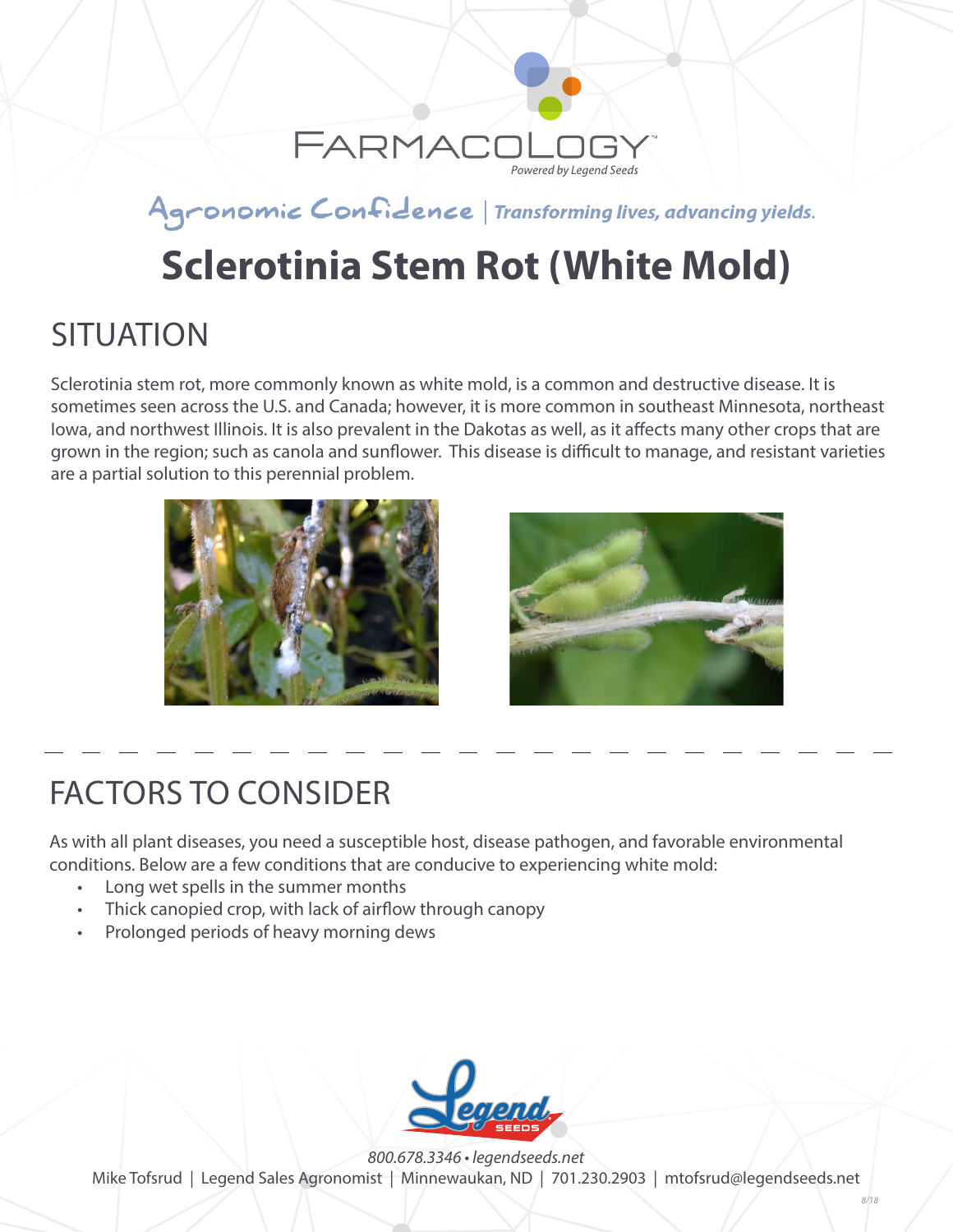

#### Agronomic Confidence | Transforming lives, advancing yields.

# **Sclerotinia Stem Rot (White Mold)**

### **SITUATION**

Sclerotinia stem rot, more commonly known as white mold, is a common and destructive disease. It is sometimes seen across the U.S. and Canada; however, it is more common in southeast Minnesota, northeast Iowa, and northwest Illinois. It is also prevalent in the Dakotas as well, as it affects many other crops that are grown in the region; such as canola and sunflower. This disease is difficult to manage, and resistant varieties are a partial solution to this perennial problem.





## FACTORS TO CONSIDER

As with all plant diseases, you need a susceptible host, disease pathogen, and favorable environmental conditions. Below are a few conditions that are conducive to experiencing white mold:

- Long wet spells in the summer months
- Thick canopied crop, with lack of airflow through canopy
- Prolonged periods of heavy morning dews



*800.678.3346 • legendseeds.net* Mike Tofsrud | Legend Sales Agronomist | Minnewaukan, ND | 701.230.2903 | mtofsrud@legendseeds.net